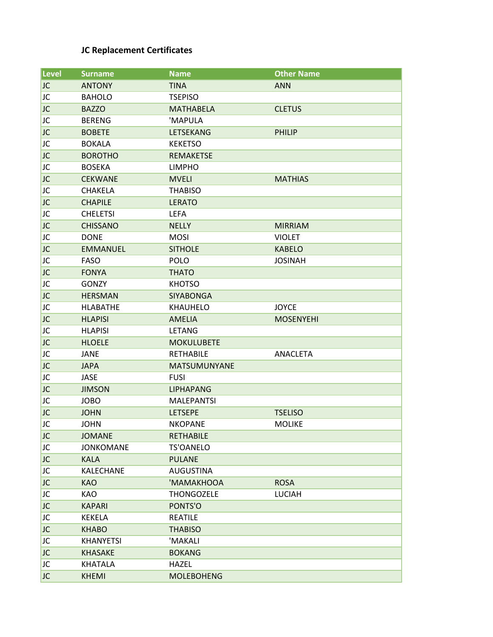## **JC Replacement Certificates**

| <b>Level</b> | <b>Surname</b>   | <b>Name</b>         | <b>Other Name</b> |
|--------------|------------------|---------------------|-------------------|
| JC           | <b>ANTONY</b>    | <b>TINA</b>         | <b>ANN</b>        |
| JC           | <b>BAHOLO</b>    | <b>TSEPISO</b>      |                   |
| JC           | <b>BAZZO</b>     | <b>MATHABELA</b>    | <b>CLETUS</b>     |
| JC           | <b>BERENG</b>    | 'MAPULA             |                   |
| JC           | <b>BOBETE</b>    | <b>LETSEKANG</b>    | <b>PHILIP</b>     |
| JC           | <b>BOKALA</b>    | <b>KEKETSO</b>      |                   |
| JC           | <b>BOROTHO</b>   | <b>REMAKETSE</b>    |                   |
| JC           | <b>BOSEKA</b>    | <b>LIMPHO</b>       |                   |
| JC           | <b>CEKWANE</b>   | <b>MVELI</b>        | <b>MATHIAS</b>    |
| JC           | <b>CHAKELA</b>   | <b>THABISO</b>      |                   |
| JC           | <b>CHAPILE</b>   | <b>LERATO</b>       |                   |
| JC           | <b>CHELETSI</b>  | <b>LEFA</b>         |                   |
| JC           | <b>CHISSANO</b>  | <b>NELLY</b>        | <b>MIRRIAM</b>    |
| JC           | <b>DONE</b>      | <b>MOSI</b>         | <b>VIOLET</b>     |
| JC           | <b>EMMANUEL</b>  | <b>SITHOLE</b>      | <b>KABELO</b>     |
| JC           | <b>FASO</b>      | <b>POLO</b>         | <b>JOSINAH</b>    |
| JC           | <b>FONYA</b>     | <b>THATO</b>        |                   |
| JC           | <b>GONZY</b>     | <b>KHOTSO</b>       |                   |
| JC           | <b>HERSMAN</b>   | SIYABONGA           |                   |
| JC           | <b>HLABATHE</b>  | KHAUHELO            | <b>JOYCE</b>      |
| JC           | <b>HLAPISI</b>   | <b>AMELIA</b>       | <b>MOSENYEHI</b>  |
| JC           | <b>HLAPISI</b>   | <b>LETANG</b>       |                   |
| JC           | <b>HLOELE</b>    | <b>MOKULUBETE</b>   |                   |
| JC           | JANE             | <b>RETHABILE</b>    | ANACLETA          |
| JC           | <b>JAPA</b>      | <b>MATSUMUNYANE</b> |                   |
| JC           | <b>JASE</b>      | <b>FUSI</b>         |                   |
| JC           | <b>JIMSON</b>    | <b>LIPHAPANG</b>    |                   |
| JC           | <b>JOBO</b>      | <b>MALEPANTSI</b>   |                   |
| JC           | <b>JOHN</b>      | <b>LETSEPE</b>      | <b>TSELISO</b>    |
| JC           | <b>JOHN</b>      | <b>NKOPANE</b>      | <b>MOLIKE</b>     |
| JC           | <b>JOMANE</b>    | <b>RETHABILE</b>    |                   |
| JC           | <b>JONKOMANE</b> | <b>TS'OANELO</b>    |                   |
| JC           | <b>KALA</b>      | <b>PULANE</b>       |                   |
| JC           | KALECHANE        | <b>AUGUSTINA</b>    |                   |
| JC           | <b>KAO</b>       | 'MAMAKHOOA          | <b>ROSA</b>       |
| JC           | KAO              | <b>THONGOZELE</b>   | <b>LUCIAH</b>     |
| JC           | <b>KAPARI</b>    | PONTS'O             |                   |
| JC           | KEKELA           | REATILE             |                   |
| JC           | <b>KHABO</b>     | <b>THABISO</b>      |                   |
| JC           | <b>KHANYETSI</b> | 'MAKALI             |                   |
| JC.          | <b>KHASAKE</b>   | <b>BOKANG</b>       |                   |
| JC           | KHATALA          | HAZEL               |                   |
| JC.          | <b>KHEMI</b>     | <b>MOLEBOHENG</b>   |                   |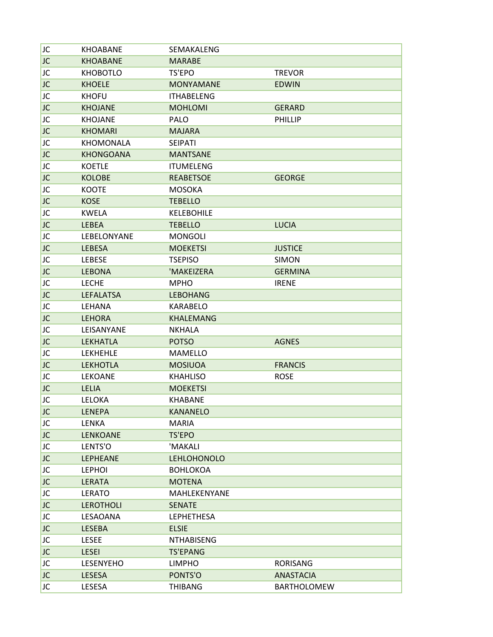| JC        | <b>KHOABANE</b>  | SEMAKALENG         |                    |
|-----------|------------------|--------------------|--------------------|
| <b>JC</b> | <b>KHOABANE</b>  | <b>MARABE</b>      |                    |
| JC        | <b>KHOBOTLO</b>  | TS'EPO             | <b>TREVOR</b>      |
| JC        | <b>KHOELE</b>    | <b>MONYAMANE</b>   | <b>EDWIN</b>       |
| JC        | <b>KHOFU</b>     | <b>ITHABELENG</b>  |                    |
| JC        | <b>KHOJANE</b>   | <b>MOHLOMI</b>     | <b>GERARD</b>      |
| JC        | <b>KHOJANE</b>   | <b>PALO</b>        | <b>PHILLIP</b>     |
| <b>JC</b> | <b>KHOMARI</b>   | <b>MAJARA</b>      |                    |
| JC        | <b>KHOMONALA</b> | <b>SEIPATI</b>     |                    |
| JC        | <b>KHONGOANA</b> | <b>MANTSANE</b>    |                    |
| JC        | <b>KOETLE</b>    | <b>ITUMELENG</b>   |                    |
| JC        | <b>KOLOBE</b>    | <b>REABETSOE</b>   | <b>GEORGE</b>      |
| JC        | <b>KOOTE</b>     | <b>MOSOKA</b>      |                    |
| <b>JC</b> | <b>KOSE</b>      | <b>TEBELLO</b>     |                    |
| JC        | <b>KWELA</b>     | <b>KELEBOHILE</b>  |                    |
| <b>JC</b> | <b>LEBEA</b>     | <b>TEBELLO</b>     | <b>LUCIA</b>       |
| JC        | LEBELONYANE      | <b>MONGOLI</b>     |                    |
| JC        | <b>LEBESA</b>    | <b>MOEKETSI</b>    | <b>JUSTICE</b>     |
| JC        | <b>LEBESE</b>    | <b>TSEPISO</b>     | <b>SIMON</b>       |
| JC        | <b>LEBONA</b>    | 'MAKEIZERA         | <b>GERMINA</b>     |
| JC        | <b>LECHE</b>     | <b>MPHO</b>        | <b>IRENE</b>       |
| <b>JC</b> | <b>LEFALATSA</b> | <b>LEBOHANG</b>    |                    |
| JC        | LEHANA           | KARABELO           |                    |
| JC        | <b>LEHORA</b>    | <b>KHALEMANG</b>   |                    |
| JC        | LEISANYANE       | <b>NKHALA</b>      |                    |
| <b>JC</b> | <b>LEKHATLA</b>  | <b>POTSO</b>       | <b>AGNES</b>       |
| JC        | <b>LEKHEHLE</b>  | MAMELLO            |                    |
| JC        | <b>LEKHOTLA</b>  | <b>MOSIUOA</b>     | <b>FRANCIS</b>     |
| JC        | <b>LEKOANE</b>   | <b>KHAHLISO</b>    | <b>ROSE</b>        |
| JC        | <b>LELIA</b>     | <b>MOEKETSI</b>    |                    |
| JC        | <b>LELOKA</b>    | KHABANE            |                    |
| JC        | <b>LENEPA</b>    | <b>KANANELO</b>    |                    |
| JC        | LENKA            | <b>MARIA</b>       |                    |
| <b>JC</b> | <b>LENKOANE</b>  | TS'EPO             |                    |
| JC        | LENTS'O          | 'MAKALI            |                    |
| JC.       | <b>LEPHEANE</b>  | <b>LEHLOHONOLO</b> |                    |
| JC        | <b>LEPHOI</b>    | <b>BOHLOKOA</b>    |                    |
| JC.       | LERATA           | <b>MOTENA</b>      |                    |
| JC        | LERATO           | MAHLEKENYANE       |                    |
| JC.       | <b>LEROTHOLI</b> | <b>SENATE</b>      |                    |
| JC        | LESAOANA         | <b>LEPHETHESA</b>  |                    |
| JC.       | LESEBA           | <b>ELSIE</b>       |                    |
| JC        | <b>LESEE</b>     | <b>NTHABISENG</b>  |                    |
| JC.       | <b>LESEI</b>     | <b>TS'EPANG</b>    |                    |
| JC        | <b>LESENYEHO</b> | <b>LIMPHO</b>      | RORISANG           |
| <b>JC</b> | LESESA           | PONTS'O            | ANASTACIA          |
| <b>JC</b> | LESESA           | <b>THIBANG</b>     | <b>BARTHOLOMEW</b> |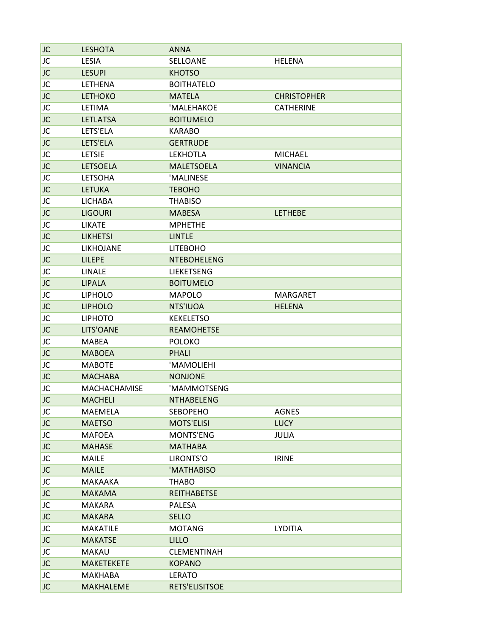| <b>JC</b>       | <b>LESHOTA</b>    | <b>ANNA</b>        |                    |  |
|-----------------|-------------------|--------------------|--------------------|--|
| JC              | LESIA             | SELLOANE           | <b>HELENA</b>      |  |
| JC              | <b>LESUPI</b>     | <b>KHOTSO</b>      |                    |  |
| JC              | <b>LETHENA</b>    | <b>BOITHATELO</b>  |                    |  |
| JC              | <b>LETHOKO</b>    | <b>MATELA</b>      | <b>CHRISTOPHER</b> |  |
| JC              | LETIMA            | 'MALEHAKOE         | <b>CATHERINE</b>   |  |
| JC              | <b>LETLATSA</b>   | <b>BOITUMELO</b>   |                    |  |
| JC              | LETS'ELA          | <b>KARABO</b>      |                    |  |
| JC              | LETS'ELA          | <b>GERTRUDE</b>    |                    |  |
| JC              | <b>LETSIE</b>     | <b>LEKHOTLA</b>    | <b>MICHAEL</b>     |  |
| JC              | <b>LETSOELA</b>   | <b>MALETSOELA</b>  | <b>VINANCIA</b>    |  |
| JC              | <b>LETSOHA</b>    | 'MALINESE          |                    |  |
| JC              | <b>LETUKA</b>     | <b>TEBOHO</b>      |                    |  |
| JC              | <b>LICHABA</b>    | <b>THABISO</b>     |                    |  |
| JC              | <b>LIGOURI</b>    | <b>MABESA</b>      | <b>LETHEBE</b>     |  |
| JC              | <b>LIKATE</b>     | <b>MPHETHE</b>     |                    |  |
| JC              | <b>LIKHETSI</b>   | <b>LINTLE</b>      |                    |  |
| JC              | LIKHOJANE         | <b>LITEBOHO</b>    |                    |  |
| JC              | <b>LILEPE</b>     | <b>NTEBOHELENG</b> |                    |  |
|                 | <b>LINALE</b>     | <b>LIEKETSENG</b>  |                    |  |
| JC<br><b>JC</b> |                   |                    |                    |  |
|                 | <b>LIPALA</b>     | <b>BOITUMELO</b>   |                    |  |
| JC              | <b>LIPHOLO</b>    | <b>MAPOLO</b>      | <b>MARGARET</b>    |  |
| JC              | <b>LIPHOLO</b>    | NTS'IUOA           | <b>HELENA</b>      |  |
| JC              | <b>LIPHOTO</b>    | <b>KEKELETSO</b>   |                    |  |
| JC              | LITS'OANE         | <b>REAMOHETSE</b>  |                    |  |
| JC              | <b>MABEA</b>      | <b>POLOKO</b>      |                    |  |
| JC              | <b>MABOEA</b>     | <b>PHALI</b>       |                    |  |
| JC              | <b>MABOTE</b>     | 'MAMOLIEHI         |                    |  |
| JC              | <b>MACHABA</b>    | <b>NONJONE</b>     |                    |  |
| JC              | MACHACHAMISE      | 'MAMMOTSENG        |                    |  |
| JC              | <b>MACHELI</b>    | <b>NTHABELENG</b>  |                    |  |
| JC              | MAEMELA           | <b>SEBOPEHO</b>    | <b>AGNES</b>       |  |
| JC              | <b>MAETSO</b>     | <b>MOTS'ELISI</b>  | <b>LUCY</b>        |  |
| JC              | MAFOEA            | MONTS'ENG          | JULIA              |  |
| <b>JC</b>       | <b>MAHASE</b>     | <b>MATHABA</b>     |                    |  |
| JC              | <b>MAILE</b>      | LIRONTS'O          | <b>IRINE</b>       |  |
| JC              | <b>MAILE</b>      | 'MATHABISO         |                    |  |
| JC              | MAKAAKA           | <b>THABO</b>       |                    |  |
| JC              | <b>MAKAMA</b>     | <b>REITHABETSE</b> |                    |  |
| JC              | MAKARA            | <b>PALESA</b>      |                    |  |
| JC              | <b>MAKARA</b>     | <b>SELLO</b>       |                    |  |
| JC              | <b>MAKATILE</b>   | <b>MOTANG</b>      | <b>LYDITIA</b>     |  |
| JC              | <b>MAKATSE</b>    | <b>LILLO</b>       |                    |  |
| JC              | MAKAU             | CLEMENTINAH        |                    |  |
| JC              | <b>MAKETEKETE</b> | <b>KOPANO</b>      |                    |  |
| JC              | MAKHABA           | <b>LERATO</b>      |                    |  |
| <b>JC</b>       | <b>MAKHALEME</b>  | RETS'ELISITSOE     |                    |  |
|                 |                   |                    |                    |  |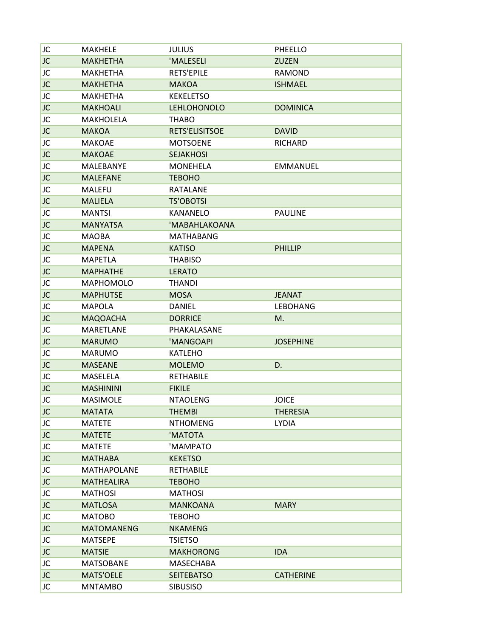| JC        | MAKHELE            | <b>JULIUS</b>      | PHEELLO          |
|-----------|--------------------|--------------------|------------------|
| JC        | <b>MAKHETHA</b>    | 'MALESELI          | ZUZEN            |
| JC        | MAKHETHA           | <b>RETS'EPILE</b>  | <b>RAMOND</b>    |
| JC        | <b>MAKHETHA</b>    | <b>MAKOA</b>       | <b>ISHMAEL</b>   |
| JC        | <b>MAKHETHA</b>    | <b>KEKELETSO</b>   |                  |
| JC        | <b>MAKHOALI</b>    | <b>LEHLOHONOLO</b> | <b>DOMINICA</b>  |
| JC        | <b>MAKHOLELA</b>   | <b>THABO</b>       |                  |
| JC        | <b>MAKOA</b>       | RETS'ELISITSOE     | <b>DAVID</b>     |
| JC        | <b>MAKOAE</b>      | <b>MOTSOENE</b>    | <b>RICHARD</b>   |
| JC        | <b>MAKOAE</b>      | <b>SEJAKHOSI</b>   |                  |
| JC        | MALEBANYE          | MONEHELA           | <b>EMMANUEL</b>  |
| JC        | <b>MALEFANE</b>    | <b>TEBOHO</b>      |                  |
| JC        | <b>MALEFU</b>      | RATALANE           |                  |
| JC        | <b>MALIELA</b>     | <b>TS'OBOTSI</b>   |                  |
| JC        | <b>MANTSI</b>      | <b>KANANELO</b>    | <b>PAULINE</b>   |
| JC        | <b>MANYATSA</b>    | 'MABAHLAKOANA      |                  |
| JC        | MAOBA              | <b>MATHABANG</b>   |                  |
| JC        | <b>MAPENA</b>      | <b>KATISO</b>      | <b>PHILLIP</b>   |
| JC        | <b>MAPETLA</b>     | <b>THABISO</b>     |                  |
| JC        | <b>MAPHATHE</b>    | <b>LERATO</b>      |                  |
| JC        | <b>MAPHOMOLO</b>   | <b>THANDI</b>      |                  |
| JC        | <b>MAPHUTSE</b>    | <b>MOSA</b>        | <b>JEANAT</b>    |
| JC        | <b>MAPOLA</b>      | <b>DANIEL</b>      | <b>LEBOHANG</b>  |
| JC        | <b>MAQOACHA</b>    | <b>DORRICE</b>     | M.               |
| JC        | <b>MARETLANE</b>   | PHAKALASANE        |                  |
| <b>JC</b> | <b>MARUMO</b>      | 'MANGOAPI          | <b>JOSEPHINE</b> |
| JC        | <b>MARUMO</b>      | <b>KATLEHO</b>     |                  |
| JC        | <b>MASEANE</b>     | <b>MOLEMO</b>      | D.               |
| JC        | MASELELA           | <b>RETHABILE</b>   |                  |
| JC        | <b>MASHININI</b>   | <b>FIKILE</b>      |                  |
| JC        | <b>MASIMOLE</b>    | <b>NTAOLENG</b>    | <b>JOICE</b>     |
| JC        | <b>MATATA</b>      | <b>THEMBI</b>      | <b>THERESIA</b>  |
| JC        | <b>MATETE</b>      | <b>NTHOMENG</b>    | <b>LYDIA</b>     |
| JC        | <b>MATETE</b>      | 'MATOTA            |                  |
| JC        | <b>MATETE</b>      | 'MAMPATO           |                  |
| JC        | <b>MATHABA</b>     | <b>KEKETSO</b>     |                  |
| JC        | <b>MATHAPOLANE</b> | <b>RETHABILE</b>   |                  |
| JC        | <b>MATHEALIRA</b>  | <b>TEBOHO</b>      |                  |
| JC        | <b>MATHOSI</b>     | <b>MATHOSI</b>     |                  |
| JC        | <b>MATLOSA</b>     | <b>MANKOANA</b>    | <b>MARY</b>      |
| JC        | <b>MATOBO</b>      | <b>TEBOHO</b>      |                  |
| JC        | <b>MATOMANENG</b>  | <b>NKAMENG</b>     |                  |
| JC        | <b>MATSEPE</b>     | <b>TSIETSO</b>     |                  |
| JC        | <b>MATSIE</b>      | <b>MAKHORONG</b>   | <b>IDA</b>       |
| JC        | <b>MATSOBANE</b>   | MASECHABA          |                  |
| JC        | <b>MATS'OELE</b>   | <b>SEITEBATSO</b>  | <b>CATHERINE</b> |
| JC        | <b>MNTAMBO</b>     | <b>SIBUSISO</b>    |                  |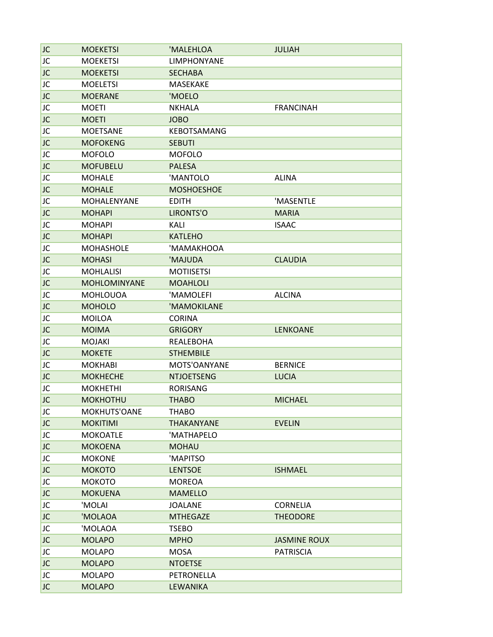| <b>JC</b> | <b>MOEKETSI</b>    | 'MALEHLOA          | <b>JULIAH</b>       |  |
|-----------|--------------------|--------------------|---------------------|--|
| JC        | <b>MOEKETSI</b>    | <b>LIMPHONYANE</b> |                     |  |
| JC        | <b>MOEKETSI</b>    | <b>SECHABA</b>     |                     |  |
| JC        | <b>MOELETSI</b>    | <b>MASEKAKE</b>    |                     |  |
| JC        | <b>MOERANE</b>     | 'MOELO             |                     |  |
| JC        | <b>MOETI</b>       | <b>NKHALA</b>      | <b>FRANCINAH</b>    |  |
| JC        | <b>MOETI</b>       | <b>JOBO</b>        |                     |  |
| JC        | <b>MOETSANE</b>    | KEBOTSAMANG        |                     |  |
| JC        | <b>MOFOKENG</b>    | <b>SEBUTI</b>      |                     |  |
| JC        | <b>MOFOLO</b>      | <b>MOFOLO</b>      |                     |  |
| JC        | <b>MOFUBELU</b>    | <b>PALESA</b>      |                     |  |
| JC        | <b>MOHALE</b>      | 'MANTOLO           | <b>ALINA</b>        |  |
| JC        | <b>MOHALE</b>      | <b>MOSHOESHOE</b>  |                     |  |
| JC        | <b>MOHALENYANE</b> | <b>EDITH</b>       | 'MASENTLE           |  |
|           |                    |                    |                     |  |
| JC        | <b>MOHAPI</b>      | LIRONTS'O          | <b>MARIA</b>        |  |
| JC        | <b>MOHAPI</b>      | KALI               | <b>ISAAC</b>        |  |
| JC        | <b>MOHAPI</b>      | <b>KATLEHO</b>     |                     |  |
| JC        | <b>MOHASHOLE</b>   | 'MAMAKHOOA         |                     |  |
| JC        | <b>MOHASI</b>      | 'MAJUDA            | <b>CLAUDIA</b>      |  |
| JC        | <b>MOHLALISI</b>   | <b>MOTIISETSI</b>  |                     |  |
| JC        | MOHLOMINYANE       | <b>MOAHLOLI</b>    |                     |  |
| JC        | <b>MOHLOUOA</b>    | 'MAMOLEFI          | <b>ALCINA</b>       |  |
| JC        | <b>MOHOLO</b>      | 'MAMOKILANE        |                     |  |
| JC        | <b>MOILOA</b>      | <b>CORINA</b>      |                     |  |
| JC        | <b>MOIMA</b>       | <b>GRIGORY</b>     | <b>LENKOANE</b>     |  |
| JC        | <b>MOJAKI</b>      | REALEBOHA          |                     |  |
| JC        | <b>MOKETE</b>      | <b>STHEMBILE</b>   |                     |  |
| JC        | <b>MOKHABI</b>     | MOTS'OANYANE       | <b>BERNICE</b>      |  |
| JC        | <b>MOKHECHE</b>    | <b>NTJOETSENG</b>  | <b>LUCIA</b>        |  |
| JC        | <b>MOKHETHI</b>    | <b>RORISANG</b>    |                     |  |
| JC        | <b>MOKHOTHU</b>    | <b>THABO</b>       | <b>MICHAEL</b>      |  |
| JC        | MOKHUTS'OANE       | <b>THABO</b>       |                     |  |
| JC        | <b>MOKITIMI</b>    | THAKANYANE         | <b>EVELIN</b>       |  |
| JC        | <b>MOKOATLE</b>    | 'MATHAPELO         |                     |  |
| <b>JC</b> | <b>MOKOENA</b>     | <b>MOHAU</b>       |                     |  |
| JC        | <b>MOKONE</b>      | 'MAPITSO           |                     |  |
| JC        | МОКОТО             | <b>LENTSOE</b>     | <b>ISHMAEL</b>      |  |
| JC        | <b>MOKOTO</b>      | <b>MOREOA</b>      |                     |  |
| JC        | <b>MOKUENA</b>     | <b>MAMELLO</b>     |                     |  |
| JC        | 'MOLAI             | <b>JOALANE</b>     | <b>CORNELIA</b>     |  |
|           |                    |                    |                     |  |
| JC        | 'MOLAOA            | <b>MTHEGAZE</b>    | <b>THEODORE</b>     |  |
| JC        | 'MOLAOA            | <b>TSEBO</b>       |                     |  |
| JC        | <b>MOLAPO</b>      | <b>MPHO</b>        | <b>JASMINE ROUX</b> |  |
| JC        | <b>MOLAPO</b>      | <b>MOSA</b>        | <b>PATRISCIA</b>    |  |
| JC        | <b>MOLAPO</b>      | <b>NTOETSE</b>     |                     |  |
| JC        | <b>MOLAPO</b>      | PETRONELLA         |                     |  |
| <b>JC</b> | <b>MOLAPO</b>      | <b>LEWANIKA</b>    |                     |  |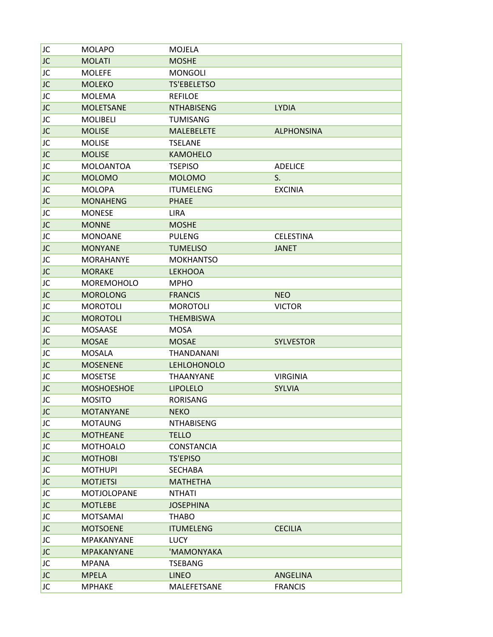| JC        | <b>MOLAPO</b>     | <b>MOJELA</b>      |                   |
|-----------|-------------------|--------------------|-------------------|
| <b>JC</b> | <b>MOLATI</b>     | <b>MOSHE</b>       |                   |
| JC        | <b>MOLEFE</b>     | <b>MONGOLI</b>     |                   |
| JC        | <b>MOLEKO</b>     | <b>TS'EBELETSO</b> |                   |
| JC        | <b>MOLEMA</b>     | <b>REFILOE</b>     |                   |
| JC        | <b>MOLETSANE</b>  | <b>NTHABISENG</b>  | <b>LYDIA</b>      |
| JC        | <b>MOLIBELI</b>   | <b>TUMISANG</b>    |                   |
| JC        | <b>MOLISE</b>     | <b>MALEBELETE</b>  | <b>ALPHONSINA</b> |
| JC        | <b>MOLISE</b>     | <b>TSELANE</b>     |                   |
| JC        | <b>MOLISE</b>     | <b>KAMOHELO</b>    |                   |
| JC        | <b>MOLOANTOA</b>  | <b>TSEPISO</b>     | <b>ADELICE</b>    |
| <b>JC</b> | <b>MOLOMO</b>     | <b>MOLOMO</b>      | S.                |
| JC        | <b>MOLOPA</b>     | <b>ITUMELENG</b>   | <b>EXCINIA</b>    |
| <b>JC</b> | <b>MONAHENG</b>   | <b>PHAEE</b>       |                   |
| JC        | <b>MONESE</b>     | <b>LIRA</b>        |                   |
| JC        | <b>MONNE</b>      | <b>MOSHE</b>       |                   |
| JC        | <b>MONOANE</b>    | <b>PULENG</b>      | <b>CELESTINA</b>  |
| JC        | <b>MONYANE</b>    | <b>TUMELISO</b>    | <b>JANET</b>      |
| JC        | <b>MORAHANYE</b>  | <b>MOKHANTSO</b>   |                   |
| JC        | <b>MORAKE</b>     | <b>LEKHOOA</b>     |                   |
| JC        | MOREMOHOLO        | <b>MPHO</b>        |                   |
| JC        | <b>MOROLONG</b>   | <b>FRANCIS</b>     | <b>NEO</b>        |
| JC        | <b>MOROTOLI</b>   | <b>MOROTOLI</b>    | <b>VICTOR</b>     |
| <b>JC</b> | <b>MOROTOLI</b>   | <b>THEMBISWA</b>   |                   |
| JC        | <b>MOSAASE</b>    | MOSA               |                   |
| <b>JC</b> | <b>MOSAE</b>      | <b>MOSAE</b>       | <b>SYLVESTOR</b>  |
| JC        | <b>MOSALA</b>     | THANDANANI         |                   |
| JC        | <b>MOSENENE</b>   | <b>LEHLOHONOLO</b> |                   |
| JC        | <b>MOSETSE</b>    | <b>THAANYANE</b>   | <b>VIRGINIA</b>   |
| JC        | <b>MOSHOESHOE</b> | <b>LIPOLELO</b>    | <b>SYLVIA</b>     |
| JC        | <b>MOSITO</b>     | <b>RORISANG</b>    |                   |
| JC        | <b>MOTANYANE</b>  | <b>NEKO</b>        |                   |
| JC        | <b>MOTAUNG</b>    | <b>NTHABISENG</b>  |                   |
| JC        | <b>MOTHEANE</b>   | <b>TELLO</b>       |                   |
| JC        | <b>MOTHOALO</b>   | <b>CONSTANCIA</b>  |                   |
| JC        | <b>MOTHOBI</b>    | <b>TS'EPISO</b>    |                   |
| JC        | <b>MOTHUPI</b>    | <b>SECHABA</b>     |                   |
| <b>JC</b> | <b>MOTJETSI</b>   | <b>MATHETHA</b>    |                   |
| JC        | MOTJOLOPANE       | <b>NTHATI</b>      |                   |
| <b>JC</b> | <b>MOTLEBE</b>    | <b>JOSEPHINA</b>   |                   |
| JC        | <b>MOTSAMAI</b>   | <b>THABO</b>       |                   |
| JC.       | <b>MOTSOENE</b>   | <b>ITUMELENG</b>   | <b>CECILIA</b>    |
| JC        | MPAKANYANE        | LUCY               |                   |
| JC        | <b>MPAKANYANE</b> | 'MAMONYAKA         |                   |
| JC        | <b>MPANA</b>      | <b>TSEBANG</b>     |                   |
| <b>JC</b> | <b>MPELA</b>      | <b>LINEO</b>       | ANGELINA          |
| JC        | <b>MPHAKE</b>     | MALEFETSANE        | <b>FRANCIS</b>    |
|           |                   |                    |                   |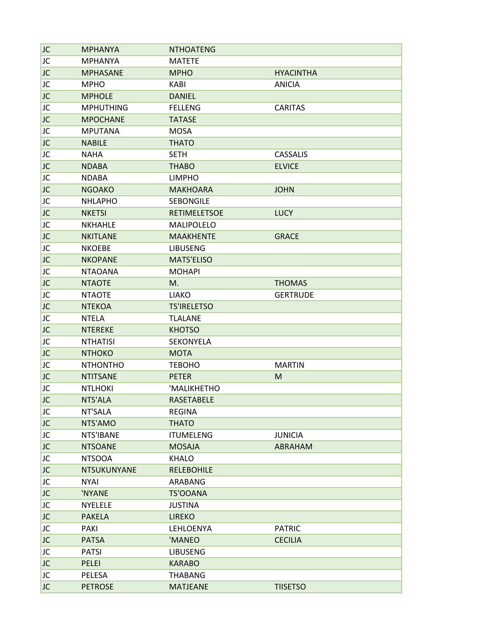| JC        | <b>MPHANYA</b>   | <b>NTHOATENG</b>    |                  |
|-----------|------------------|---------------------|------------------|
| JC        | <b>MPHANYA</b>   | <b>MATETE</b>       |                  |
| JC        | <b>MPHASANE</b>  | <b>MPHO</b>         | <b>HYACINTHA</b> |
| JC        | <b>MPHO</b>      | KABI                | <b>ANICIA</b>    |
| JC        | <b>MPHOLE</b>    | <b>DANIEL</b>       |                  |
| JC        | <b>MPHUTHING</b> | <b>FELLENG</b>      | <b>CARITAS</b>   |
| JC        | <b>MPOCHANE</b>  | <b>TATASE</b>       |                  |
| JC        | <b>MPUTANA</b>   | <b>MOSA</b>         |                  |
| JC        | <b>NABILE</b>    | <b>THATO</b>        |                  |
| JC        | <b>NAHA</b>      | <b>SETH</b>         | <b>CASSALIS</b>  |
|           |                  |                     |                  |
| JC        | <b>NDABA</b>     | <b>THABO</b>        | <b>ELVICE</b>    |
| JC        | <b>NDABA</b>     | <b>LIMPHO</b>       |                  |
| JC        | <b>NGOAKO</b>    | <b>MAKHOARA</b>     | <b>JOHN</b>      |
| JC        | <b>NHLAPHO</b>   | <b>SEBONGILE</b>    |                  |
| JC        | <b>NKETSI</b>    | <b>RETIMELETSOE</b> | <b>LUCY</b>      |
| JC        | <b>NKHAHLE</b>   | MALIPOLELO          |                  |
| JC        | <b>NKITLANE</b>  | <b>MAAKHENTE</b>    | <b>GRACE</b>     |
| JC        | <b>NKOEBE</b>    | <b>LIBUSENG</b>     |                  |
| JC        | <b>NKOPANE</b>   | <b>MATS'ELISO</b>   |                  |
| JC        | <b>NTAOANA</b>   | <b>MOHAPI</b>       |                  |
| JC        | <b>NTAOTE</b>    | M.                  | <b>THOMAS</b>    |
| JC        | <b>NTAOTE</b>    | <b>LIAKO</b>        | <b>GERTRUDE</b>  |
| JC        | <b>NTEKOA</b>    | <b>TS'IRELETSO</b>  |                  |
| JC        | <b>NTELA</b>     | <b>TLALANE</b>      |                  |
| JC        | <b>NTEREKE</b>   | <b>KHOTSO</b>       |                  |
| JC        | <b>NTHATISI</b>  | SEKONYELA           |                  |
| JC        | <b>NTHOKO</b>    | <b>MOTA</b>         |                  |
| JC        | <b>NTHONTHO</b>  | <b>TEBOHO</b>       | <b>MARTIN</b>    |
| <b>JC</b> |                  | <b>PETER</b>        | M                |
|           | <b>NTITSANE</b>  |                     |                  |
| JC        | <b>NTLHOKI</b>   | 'MALIKHETHO         |                  |
| JC        | NTS'ALA          | RASETABELE          |                  |
| JC        | NT'SALA          | <b>REGINA</b>       |                  |
| JC        | NTS'AMO          | <b>THATO</b>        |                  |
| JC        | NTS'IBANE        | <b>ITUMELENG</b>    | <b>JUNICIA</b>   |
| JC        | <b>NTSOANE</b>   | <b>MOSAJA</b>       | ABRAHAM          |
| JC        | <b>NTSOOA</b>    | <b>KHALO</b>        |                  |
| <b>JC</b> | NTSUKUNYANE      | <b>RELEBOHILE</b>   |                  |
| JC        | <b>NYAI</b>      | ARABANG             |                  |
| JC        | 'NYANE           | TS'OOANA            |                  |
| JC        | <b>NYELELE</b>   | <b>JUSTINA</b>      |                  |
| JC        | <b>PAKELA</b>    | <b>LIREKO</b>       |                  |
| JC        | PAKI             | LEHLOENYA           | <b>PATRIC</b>    |
| <b>JC</b> | <b>PATSA</b>     | 'MANEO              | <b>CECILIA</b>   |
| JC        | <b>PATSI</b>     | <b>LIBUSENG</b>     |                  |
| <b>JC</b> | PELEI            | <b>KARABO</b>       |                  |
| JC        | PELESA           | <b>THABANG</b>      |                  |
|           |                  |                     |                  |
| JC        | <b>PETROSE</b>   | <b>MATJEANE</b>     | <b>TIISETSO</b>  |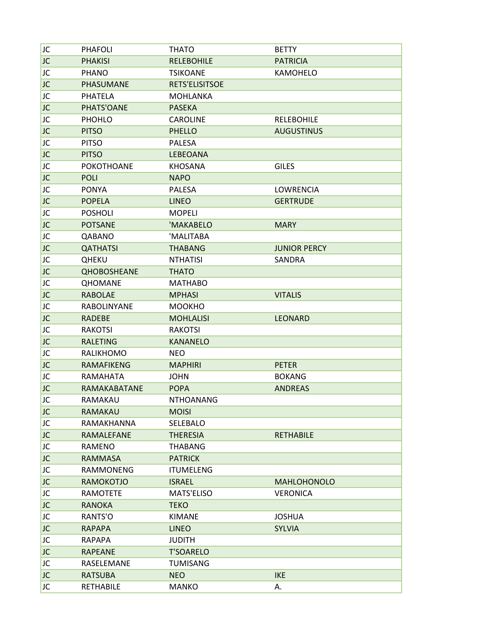| JC        | <b>PHAFOLI</b>     | <b>THATO</b>          | <b>BETTY</b>        |
|-----------|--------------------|-----------------------|---------------------|
| <b>JC</b> | <b>PHAKISI</b>     | <b>RELEBOHILE</b>     | <b>PATRICIA</b>     |
| JC        | <b>PHANO</b>       | <b>TSIKOANE</b>       | KAMOHELO            |
| <b>JC</b> | PHASUMANE          | <b>RETS'ELISITSOE</b> |                     |
| JC        | <b>PHATELA</b>     | <b>MOHLANKA</b>       |                     |
| JC        | PHATS'OANE         | <b>PASEKA</b>         |                     |
| JC        | <b>PHOHLO</b>      | <b>CAROLINE</b>       | <b>RELEBOHILE</b>   |
| JC        | <b>PITSO</b>       | <b>PHELLO</b>         | <b>AUGUSTINUS</b>   |
| JC        | <b>PITSO</b>       | <b>PALESA</b>         |                     |
| JC        | <b>PITSO</b>       | LEBEOANA              |                     |
| JC        | <b>POKOTHOANE</b>  | <b>KHOSANA</b>        | <b>GILES</b>        |
| JC        | <b>POLI</b>        | <b>NAPO</b>           |                     |
| JC        | <b>PONYA</b>       | <b>PALESA</b>         | LOWRENCIA           |
| JC        | <b>POPELA</b>      | <b>LINEO</b>          | <b>GERTRUDE</b>     |
| JC        | <b>POSHOLI</b>     | <b>MOPELI</b>         |                     |
| JC        | <b>POTSANE</b>     | 'MAKABELO             | <b>MARY</b>         |
| JC        | QABANO             | 'MALITABA             |                     |
| JC        | <b>QATHATSI</b>    | <b>THABANG</b>        | <b>JUNIOR PERCY</b> |
| JC        | <b>QHEKU</b>       | <b>NTHATISI</b>       | SANDRA              |
| JC        | <b>QHOBOSHEANE</b> | <b>THATO</b>          |                     |
| JC        | <b>QHOMANE</b>     | <b>MATHABO</b>        |                     |
| JC        | <b>RABOLAE</b>     | <b>MPHASI</b>         | <b>VITALIS</b>      |
| JC        | <b>RABOLINYANE</b> | <b>MOOKHO</b>         |                     |
| JC        | <b>RADEBE</b>      | <b>MOHLALISI</b>      | <b>LEONARD</b>      |
| JC        | <b>RAKOTSI</b>     | <b>RAKOTSI</b>        |                     |
| <b>JC</b> | <b>RALETING</b>    | <b>KANANELO</b>       |                     |
| JC        | RALIKHOMO          | <b>NEO</b>            |                     |
| JC        | <b>RAMAFIKENG</b>  | <b>MAPHIRI</b>        | <b>PETER</b>        |
| JC        | RAMAHATA           | <b>JOHN</b>           | <b>BOKANG</b>       |
| JC        | RAMAKABATANE       | <b>POPA</b>           | <b>ANDREAS</b>      |
| JC        | RAMAKAU            | <b>NTHOANANG</b>      |                     |
| JC        | RAMAKAU            | <b>MOISI</b>          |                     |
| JC        | RAMAKHANNA         | SELEBALO              |                     |
| JC        | RAMALEFANE         | <b>THERESIA</b>       | <b>RETHABILE</b>    |
| JC        | RAMENO             | <b>THABANG</b>        |                     |
| JC        | <b>RAMMASA</b>     | <b>PATRICK</b>        |                     |
| JC        | <b>RAMMONENG</b>   | <b>ITUMELENG</b>      |                     |
| JC        | <b>RAMOKOTJO</b>   | <b>ISRAEL</b>         | <b>MAHLOHONOLO</b>  |
| JC        | <b>RAMOTETE</b>    | MATS'ELISO            | <b>VERONICA</b>     |
| <b>JC</b> | <b>RANOKA</b>      | <b>TEKO</b>           |                     |
| JC        | RANTS'O            | KIMANE                | <b>JOSHUA</b>       |
| <b>JC</b> | <b>RAPAPA</b>      | <b>LINEO</b>          | <b>SYLVIA</b>       |
| JC        | RAPAPA             | <b>JUDITH</b>         |                     |
| JC        | <b>RAPEANE</b>     | <b>T'SOARELO</b>      |                     |
| JC        | RASELEMANE         | TUMISANG              |                     |
| JC        | <b>RATSUBA</b>     | <b>NEO</b>            | <b>IKE</b>          |
| JC        | <b>RETHABILE</b>   | <b>MANKO</b>          | А.                  |
|           |                    |                       |                     |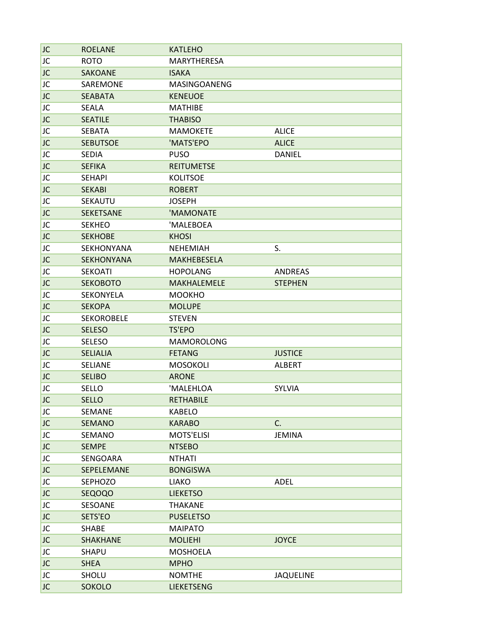| JC        | <b>ROELANE</b>    | <b>KATLEHO</b>     |                |
|-----------|-------------------|--------------------|----------------|
| JC        | <b>ROTO</b>       | MARYTHERESA        |                |
| JC        | <b>SAKOANE</b>    | <b>ISAKA</b>       |                |
| JC        | SAREMONE          | MASINGOANENG       |                |
| JC        | <b>SEABATA</b>    | <b>KENEUOE</b>     |                |
| JC        | SEALA             | <b>MATHIBE</b>     |                |
| <b>JC</b> | <b>SEATILE</b>    | <b>THABISO</b>     |                |
| JC        | <b>SEBATA</b>     | <b>MAMOKETE</b>    | <b>ALICE</b>   |
| <b>JC</b> | <b>SEBUTSOE</b>   | 'MATS'EPO          | <b>ALICE</b>   |
| JC        | <b>SEDIA</b>      | <b>PUSO</b>        | <b>DANIEL</b>  |
| JC        | <b>SEFIKA</b>     | <b>REITUMETSE</b>  |                |
| JC        | <b>SEHAPI</b>     | <b>KOLITSOE</b>    |                |
| <b>JC</b> | <b>SEKABI</b>     | <b>ROBERT</b>      |                |
| JC        | SEKAUTU           | <b>JOSEPH</b>      |                |
| JC        | <b>SEKETSANE</b>  | 'MAMONATE          |                |
| JC        | <b>SEKHEO</b>     | 'MALEBOEA          |                |
| JC        | <b>SEKHOBE</b>    | <b>KHOSI</b>       |                |
| JC        | SEKHONYANA        | <b>NEHEMIAH</b>    | S.             |
| JC        | <b>SEKHONYANA</b> | <b>MAKHEBESELA</b> |                |
| JC        | <b>SEKOATI</b>    | <b>HOPOLANG</b>    | ANDREAS        |
| <b>JC</b> | <b>SEKOBOTO</b>   | MAKHALEMELE        | <b>STEPHEN</b> |
| JC        | SEKONYELA         | <b>MOOKHO</b>      |                |
| JC        | <b>SEKOPA</b>     | <b>MOLUPE</b>      |                |
| JC        | <b>SEKOROBELE</b> | <b>STEVEN</b>      |                |
| JC        | <b>SELESO</b>     | <b>TS'EPO</b>      |                |
| JC        | <b>SELESO</b>     | <b>MAMOROLONG</b>  |                |
| JC        | <b>SELIALIA</b>   | <b>FETANG</b>      | <b>JUSTICE</b> |
| JC        | <b>SELIANE</b>    | <b>MOSOKOLI</b>    | <b>ALBERT</b>  |
| JC        | <b>SELIBO</b>     | <b>ARONE</b>       |                |
| JC        | SELLO             | 'MALEHLOA          | SYLVIA         |
| <b>JC</b> | <b>SELLO</b>      | <b>RETHABILE</b>   |                |
| JC        | SEMANE            | KABELO             |                |
| JC.       | <b>SEMANO</b>     | <b>KARABO</b>      | C.             |
| JC        | SEMANO            | <b>MOTS'ELISI</b>  | JEMINA         |
| JC        | <b>SEMPE</b>      | <b>NTSEBO</b>      |                |
| JC        | SENGOARA          | <b>NTHATI</b>      |                |
| JC        | SEPELEMANE        | <b>BONGISWA</b>    |                |
| JC        | <b>SEPHOZO</b>    | <b>LIAKO</b>       | ADEL           |
| JC        | <b>SEQOQO</b>     | <b>LIEKETSO</b>    |                |
| JC        | SESOANE           | <b>THAKANE</b>     |                |
| JC        | SETS'EO           | <b>PUSELETSO</b>   |                |
| JC        | SHABE             | <b>MAIPATO</b>     |                |
| JC.       | <b>SHAKHANE</b>   | <b>MOLIEHI</b>     | <b>JOYCE</b>   |
| JC        | SHAPU             | MOSHOELA           |                |
| JC        | <b>SHEA</b>       | <b>MPHO</b>        |                |
| JC        | SHOLU             | <b>NOMTHE</b>      | JAQUELINE      |
| JC        | <b>SOKOLO</b>     | <b>LIEKETSENG</b>  |                |